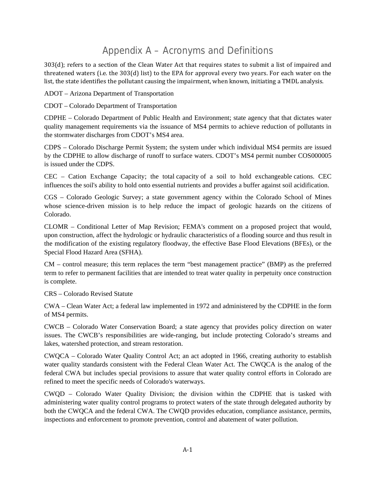## Appendix A – Acronyms and Definitions

303(d); refers to a section of the Clean Water Act that requires states to submit a list of impaired and threatened waters (i.e. the  $303(d)$  list) to the EPA for approval every two years. For each water on the list, the state identifies the pollutant causing the impairment, when known, initiating a TMDL analysis.

ADOT – Arizona Department of Transportation

CDOT – Colorado Department of Transportation

CDPHE – Colorado Department of Public Health and Environment; state agency that that dictates water quality management requirements via the issuance of MS4 permits to achieve reduction of pollutants in the stormwater discharges from CDOT's MS4 area.

CDPS – Colorado Discharge Permit System; the system under which individual MS4 permits are issued by the CDPHE to allow discharge of runoff to surface waters. CDOT's MS4 permit number COS000005 is issued under the CDPS.

CEC – Cation Exchange Capacity; the total capacity of a soil to hold exchangeable cations. CEC influences the soil's ability to hold onto essential nutrients and provides a buffer against soil acidification.

CGS – Colorado Geologic Survey; a state government agency within the Colorado School of Mines whose science-driven mission is to help reduce the impact of geologic hazards on the citizens of Colorado.

CLOMR – Conditional Letter of Map Revision; FEMA's comment on a proposed project that would, upon construction, affect the hydrologic or hydraulic characteristics of a flooding source and thus result in the modification of the existing regulatory floodway, the effective Base Flood Elevations (BFEs), or the Special Flood Hazard Area (SFHA).

CM – control measure; this term replaces the term "best management practice" (BMP) as the preferred term to refer to permanent facilities that are intended to treat water quality in perpetuity once construction is complete.

CRS – Colorado Revised Statute

CWA – Clean Water Act; a federal law implemented in 1972 and administered by the CDPHE in the form of MS4 permits.

CWCB – Colorado Water Conservation Board; a state agency that provides policy direction on water issues. The CWCB's responsibilities are wide-ranging, but include protecting Colorado's streams and lakes, watershed protection, and stream restoration.

CWQCA – Colorado Water Quality Control Act; an act adopted in 1966, creating authority to establish water quality standards consistent with the Federal Clean Water Act. The CWQCA is the analog of the federal CWA but includes special provisions to assure that water quality control efforts in Colorado are refined to meet the specific needs of Colorado's waterways.

CWQD – Colorado Water Quality Division; the division within the CDPHE that is tasked with administering water quality control programs to protect waters of the state through delegated authority by both the CWQCA and the federal CWA. The CWQD provides education, compliance assistance, permits, inspections and enforcement to promote prevention, control and abatement of water pollution.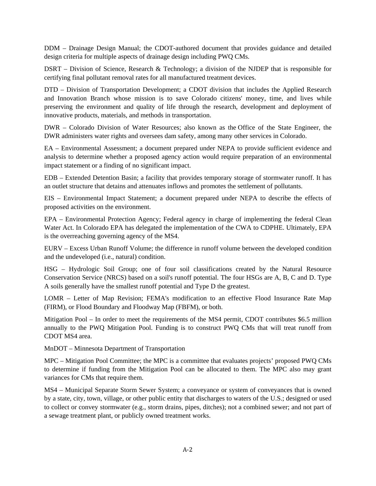DDM – Drainage Design Manual; the CDOT-authored document that provides guidance and detailed design criteria for multiple aspects of drainage design including PWQ CMs.

DSRT – Division of Science, Research & Technology; a division of the NJDEP that is responsible for certifying final pollutant removal rates for all manufactured treatment devices.

DTD – Division of Transportation Development; a CDOT division that includes the Applied Research and Innovation Branch whose mission is to save Colorado citizens' money, time, and lives while preserving the environment and quality of life through the research, development and deployment of innovative products, materials, and methods in transportation.

DWR – Colorado Division of Water Resources; also known as the Office of the State Engineer, the DWR administers water rights and oversees dam safety, among many other services in Colorado.

EA – Environmental Assessment; a document prepared under NEPA to provide sufficient evidence and analysis to determine whether a proposed agency action would require preparation of an environmental impact statement or a finding of no significant impact.

EDB – Extended Detention Basin; a facility that provides temporary storage of stormwater runoff. It has an outlet structure that detains and attenuates inflows and promotes the settlement of pollutants.

EIS – Environmental Impact Statement; a document prepared under NEPA to describe the effects of proposed activities on the environment.

EPA – Environmental Protection Agency; Federal agency in charge of implementing the federal Clean Water Act. In Colorado EPA has delegated the implementation of the CWA to CDPHE. Ultimately, EPA is the overreaching governing agency of the MS4.

EURV – Excess Urban Runoff Volume; the difference in runoff volume between the developed condition and the undeveloped (i.e., natural) condition.

HSG – Hydrologic Soil Group; one of four soil classifications created by the Natural Resource Conservation Service (NRCS) based on a soil's runoff potential. The four HSGs are A, B, C and D. Type A soils generally have the smallest runoff potential and Type D the greatest.

LOMR – Letter of Map Revision; FEMA's modification to an effective Flood Insurance Rate Map (FIRM), or Flood Boundary and Floodway Map (FBFM), or both.

Mitigation Pool – In order to meet the requirements of the MS4 permit, CDOT contributes \$6.5 million annually to the PWQ Mitigation Pool. Funding is to construct PWQ CMs that will treat runoff from CDOT MS4 area.

MnDOT – Minnesota Department of Transportation

MPC – Mitigation Pool Committee; the MPC is a committee that evaluates projects' proposed PWQ CMs to determine if funding from the Mitigation Pool can be allocated to them. The MPC also may grant variances for CMs that require them.

MS4 – Municipal Separate Storm Sewer System; a conveyance or system of conveyances that is owned by a state, city, town, village, or other public entity that discharges to waters of the U.S.; designed or used to collect or convey stormwater (e.g., storm drains, pipes, ditches); not a combined sewer; and not part of a sewage treatment plant, or publicly owned treatment works.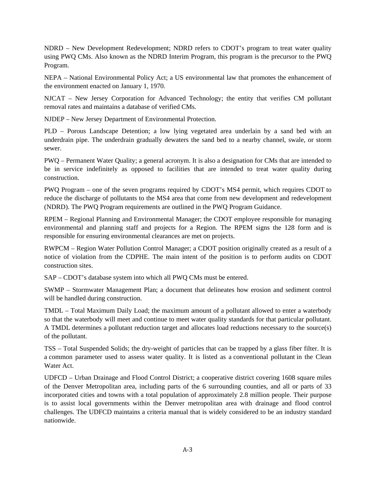NDRD – New Development Redevelopment; NDRD refers to CDOT's program to treat water quality using PWQ CMs. Also known as the NDRD Interim Program, this program is the precursor to the PWQ Program.

NEPA – National Environmental Policy Act; a US environmental law that promotes the enhancement of the environment enacted on January 1, 1970.

NJCAT – New Jersey Corporation for Advanced Technology; the entity that verifies CM pollutant removal rates and maintains a database of verified CMs.

NJDEP – New Jersey Department of Environmental Protection.

PLD – Porous Landscape Detention; a low lying vegetated area underlain by a sand bed with an underdrain pipe. The underdrain gradually dewaters the sand bed to a nearby channel, swale, or storm sewer.

PWQ – Permanent Water Quality; a general acronym. It is also a designation for CMs that are intended to be in service indefinitely as opposed to facilities that are intended to treat water quality during construction.

PWQ Program – one of the seven programs required by CDOT's MS4 permit, which requires CDOT to reduce the discharge of pollutants to the MS4 area that come from new development and redevelopment (NDRD). The PWQ Program requirements are outlined in the PWQ Program Guidance.

RPEM – Regional Planning and Environmental Manager; the CDOT employee responsible for managing environmental and planning staff and projects for a Region. The RPEM signs the 128 form and is responsible for ensuring environmental clearances are met on projects.

RWPCM – Region Water Pollution Control Manager; a CDOT position originally created as a result of a notice of violation from the CDPHE. The main intent of the position is to perform audits on CDOT construction sites.

SAP – CDOT's database system into which all PWQ CMs must be entered.

SWMP – Stormwater Management Plan; a document that delineates how erosion and sediment control will be handled during construction.

TMDL – Total Maximum Daily Load; the maximum amount of a pollutant allowed to enter a waterbody so that the waterbody will meet and continue to meet water quality standards for that particular pollutant. A TMDL determines a pollutant reduction target and allocates load reductions necessary to the source(s) of the pollutant.

TSS – Total Suspended Solids; the dry-weight of particles that can be trapped by a glass fiber filter. It is a common parameter used to assess water quality. It is listed as a conventional pollutant in the Clean Water Act.

UDFCD – Urban Drainage and Flood Control District; a cooperative district covering 1608 square miles of the Denver Metropolitan area, including parts of the 6 surrounding counties, and all or parts of 33 incorporated cities and towns with a total population of approximately 2.8 million people. Their purpose is to assist local governments within the Denver metropolitan area with drainage and flood control challenges. The UDFCD maintains a criteria manual that is widely considered to be an industry standard nationwide.